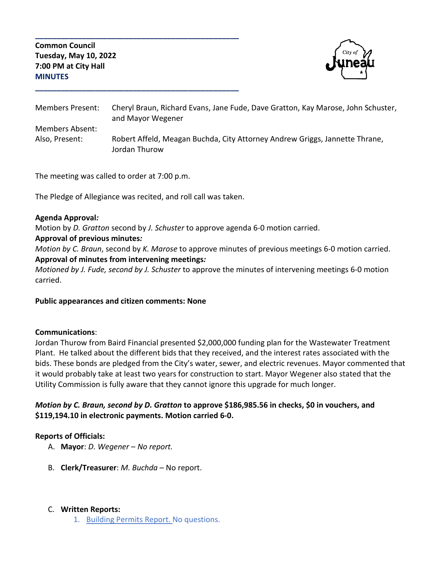**Common Council Tuesday, May 10, 2022 7:00 PM at City Hall MINUTES**



| Members Present:       | Cheryl Braun, Richard Evans, Jane Fude, Dave Gratton, Kay Marose, John Schuster,<br>and Mayor Wegener |
|------------------------|-------------------------------------------------------------------------------------------------------|
| <b>Members Absent:</b> |                                                                                                       |
| Also, Present:         | Robert Affeld, Meagan Buchda, City Attorney Andrew Griggs, Jannette Thrane,                           |
|                        | Jordan Thurow                                                                                         |

The meeting was called to order at 7:00 p.m.

The Pledge of Allegiance was recited, and roll call was taken.

**\_\_\_\_\_\_\_\_\_\_\_\_\_\_\_\_\_\_\_\_\_\_\_\_\_\_\_\_\_\_\_\_\_\_\_\_\_\_\_\_\_\_\_\_\_\_\_\_**

**\_\_\_\_\_\_\_\_\_\_\_\_\_\_\_\_\_\_\_\_\_\_\_\_\_\_\_\_\_\_\_\_\_\_\_\_\_\_\_\_\_\_\_\_\_\_\_\_**

#### **Agenda Approval***:*

Motion by *D. Gratton* second by *J. Schuster* to approve agenda 6-0 motion carried.

#### **Approval of previous minutes***:*

*Motion by C. Braun*, second by *K. Marose* to approve minutes of previous meetings 6-0 motion carried. **Approval of minutes from intervening meetings***:* 

*Motioned by J. Fude, second by J. Schuster* to approve the minutes of intervening meetings 6-0 motion carried.

### **Public appearances and citizen comments: None**

### **Communications**:

Jordan Thurow from Baird Financial presented \$2,000,000 funding plan for the Wastewater Treatment Plant. He talked about the different bids that they received, and the interest rates associated with the bids. These bonds are pledged from the City's water, sewer, and electric revenues. Mayor commented that it would probably take at least two years for construction to start. Mayor Wegener also stated that the Utility Commission is fully aware that they cannot ignore this upgrade for much longer.

## *Motion by C. Braun, second by D. Gratton* **to approve \$186,985.56 in checks, \$0 in vouchers, and \$119,194.10 in electronic payments. Motion carried 6-0.**

### **Reports of Officials:**

- A. **Mayor**: *D. Wegener No report.*
- B. **Clerk/Treasurer**: *M. Buchda* No report.

### C. **Written Reports:**

1. Building Permits Report. No questions.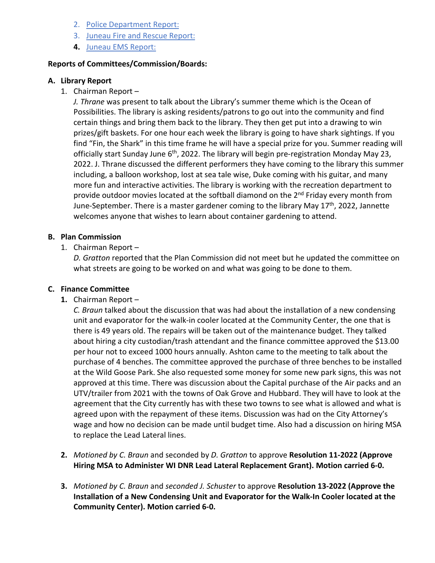- 2. Police Department Report:
- 3. Juneau Fire and Rescue Report:
- **4.** Juneau EMS Report:

### **Reports of Committees/Commission/Boards:**

### **A. Library Report**

1. Chairman Report –

*J. Thrane* was present to talk about the Library's summer theme which is the Ocean of Possibilities. The library is asking residents/patrons to go out into the community and find certain things and bring them back to the library. They then get put into a drawing to win prizes/gift baskets. For one hour each week the library is going to have shark sightings. If you find "Fin, the Shark" in this time frame he will have a special prize for you. Summer reading will officially start Sunday June 6<sup>th</sup>, 2022. The library will begin pre-registration Monday May 23, 2022. J. Thrane discussed the different performers they have coming to the library this summer including, a balloon workshop, lost at sea tale wise, Duke coming with his guitar, and many more fun and interactive activities. The library is working with the recreation department to provide outdoor movies located at the softball diamond on the 2<sup>nd</sup> Friday every month from June-September. There is a master gardener coming to the library May 17<sup>th</sup>, 2022, Jannette welcomes anyone that wishes to learn about container gardening to attend.

### **B. Plan Commission**

1. Chairman Report –

*D. Gratton* reported that the Plan Commission did not meet but he updated the committee on what streets are going to be worked on and what was going to be done to them.

### **C. Finance Committee**

**1.** Chairman Report –

*C. Braun* talked about the discussion that was had about the installation of a new condensing unit and evaporator for the walk-in cooler located at the Community Center, the one that is there is 49 years old. The repairs will be taken out of the maintenance budget. They talked about hiring a city custodian/trash attendant and the finance committee approved the \$13.00 per hour not to exceed 1000 hours annually. Ashton came to the meeting to talk about the purchase of 4 benches. The committee approved the purchase of three benches to be installed at the Wild Goose Park. She also requested some money for some new park signs, this was not approved at this time. There was discussion about the Capital purchase of the Air packs and an UTV/trailer from 2021 with the towns of Oak Grove and Hubbard. They will have to look at the agreement that the City currently has with these two towns to see what is allowed and what is agreed upon with the repayment of these items. Discussion was had on the City Attorney's wage and how no decision can be made until budget time. Also had a discussion on hiring MSA to replace the Lead Lateral lines.

- **2.** *Motioned by C. Braun* and seconded by *D. Gratton* to approve **Resolution 11-2022 (Approve Hiring MSA to Administer WI DNR Lead Lateral Replacement Grant). Motion carried 6-0.**
- **3.** *Motioned by C. Braun* and *seconded J. Schuster* to approve **Resolution 13-2022 (Approve the Installation of a New Condensing Unit and Evaporator for the Walk-In Cooler located at the Community Center). Motion carried 6-0.**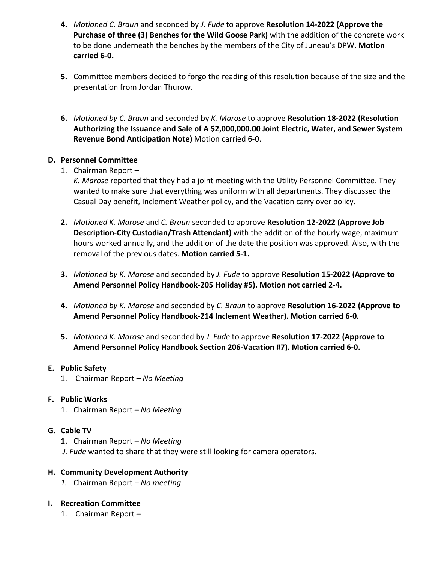- **4.** *Motioned C. Braun* and seconded by *J. Fude* to approve **Resolution 14-2022 (Approve the Purchase of three (3) Benches for the Wild Goose Park)** with the addition of the concrete work to be done underneath the benches by the members of the City of Juneau's DPW. **Motion carried 6-0.**
- **5.** Committee members decided to forgo the reading of this resolution because of the size and the presentation from Jordan Thurow.
- **6.** *Motioned by C. Braun* and seconded by *K. Marose* to approve **Resolution 18-2022 (Resolution Authorizing the Issuance and Sale of A \$2,000,000.00 Joint Electric, Water, and Sewer System Revenue Bond Anticipation Note)** Motion carried 6-0.

## **D. Personnel Committee**

1. Chairman Report –

*K. Marose* reported that they had a joint meeting with the Utility Personnel Committee. They wanted to make sure that everything was uniform with all departments. They discussed the Casual Day benefit, Inclement Weather policy, and the Vacation carry over policy.

- **2.** *Motioned K. Marose* and *C. Braun* seconded to approve **Resolution 12-2022 (Approve Job Description-City Custodian/Trash Attendant)** with the addition of the hourly wage, maximum hours worked annually, and the addition of the date the position was approved. Also, with the removal of the previous dates. **Motion carried 5-1.**
- **3.** *Motioned by K. Marose* and seconded by *J. Fude* to approve **Resolution 15-2022 (Approve to Amend Personnel Policy Handbook-205 Holiday #5). Motion not carried 2-4.**
- **4.** *Motioned by K. Marose* and seconded by *C. Braun* to approve **Resolution 16-2022 (Approve to Amend Personnel Policy Handbook-214 Inclement Weather). Motion carried 6-0.**
- **5.** *Motioned K. Marose* and seconded by *J. Fude* to approve **Resolution 17-2022 (Approve to Amend Personnel Policy Handbook Section 206-Vacation #7). Motion carried 6-0.**

### **E. Public Safety**

1. Chairman Report – *No Meeting*

## **F. Public Works**

1. Chairman Report – *No Meeting*

## **G. Cable TV**

- **1.** Chairman Report *No Meeting*
- *J. Fude* wanted to share that they were still looking for camera operators.

## **H. Community Development Authority**

*1.* Chairman Report – *No meeting*

## **I. Recreation Committee**

1. Chairman Report –